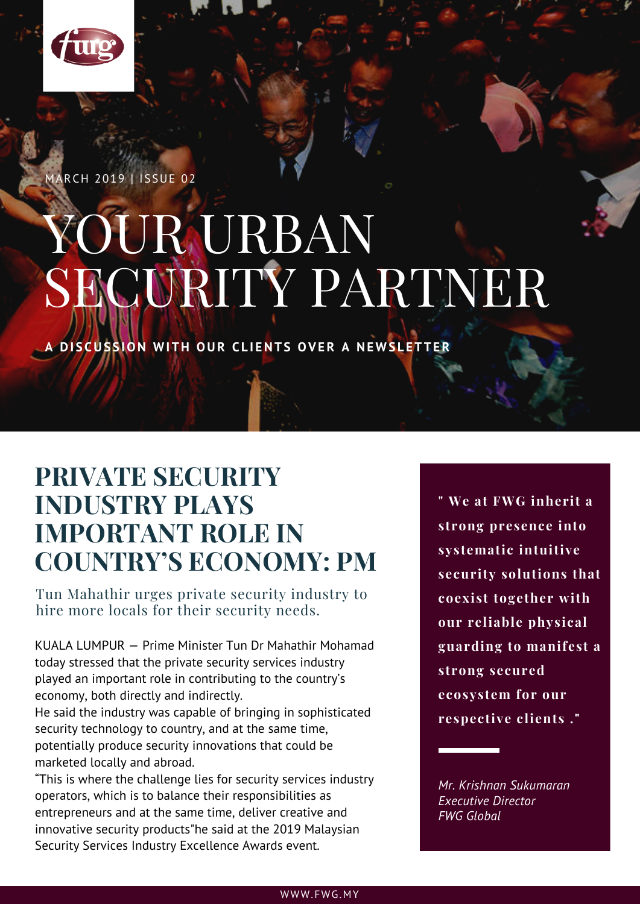

MARCH 2019 | ISSUE 02

# YOUR URBAN SECURITY PARTNER

DISCUSSION WITH OUR CLIENTS OVER A NEWSLETTER

### **PRIVATE SECURITY INDUSTRY PLAYS IMPORTANT ROLE IN COUNTRY'S ECONOMY: PM**

Tun Mahathir urges private security industry to hire more locals for their security needs.

KUALA LUMPUR — Prime Minister Tun Dr Mahathir Mohamad today stressed that the private security services industry played an important role in contributing to the country's economy, both directly and indirectly.

He said the industry was capable of bringing in sophisticated security technology to country, and at the same time, potentially produce security innovations that could be marketed locally and abroad.

"This is where the challenge lies for security services industry operators, which is to balance their responsibilities as entrepreneurs and at the same time, deliver creative and innovative security products"he said at the 2019 Malaysian Security Services Industry Excellence Awards event.

**" We at FWG inherit a strong presence into systematic intuitive security solutions that coexist together with our reliable physical guarding to manifest a strong secured ecosystem for our respective clients ."**

*Mr. Krishnan Sukumaran Executive Director FWG Global*